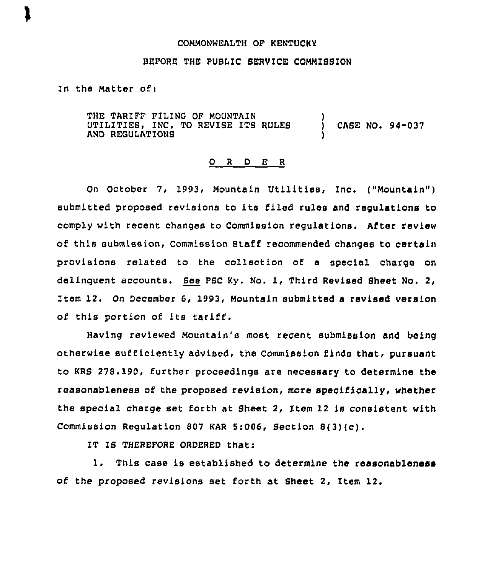## COMMONWEALTH OF KENTUCKy

## BEFORE THE PUBLIC SERVICE COMMISSION

In the Matter ofi

THE TARIFF FILING OF MOUNTAIN<br>UTILITIES, INC. TO REVISE ITS RULES AND REGULATIONB ) CASE NO. 94-037 )

## 0 <sup>R</sup> <sup>D</sup> E <sup>R</sup>

On October 7, 1993, Mountain Utilities, Inc. ("Mountain" ) submitted proposed revisions to its filed rules and regulations to comply with recent changes to Commission regulations. After review of this submission, Commission Staff recommended changes to certain provisions related to the collection of a special charge on delinquent accounts. Bee PBC Ky. No. 1, Third Revised Bheet No. 2, Item 12. On December 6, 1993, Mountain submitted a revised version of this portion of its tariff.

Having reviewed Mountain's most recent submission and being otherwise sufficiently advised, the Commission finds that, pursuant to KRS 278.190, further proceedings are necessary to determine the reasonableness of the proposed revision, more specifically, whether the special charge set forth at Sheet 2, Item 12 is consistent with Commission Regulation <sup>807</sup> KAR 5:006, Section 8(3)(c).

IT IS THEREFORE ORDERED thats

1. This case is established to determine the reasonableness of the proposed revisions set forth at Sheet 2, Item 12.